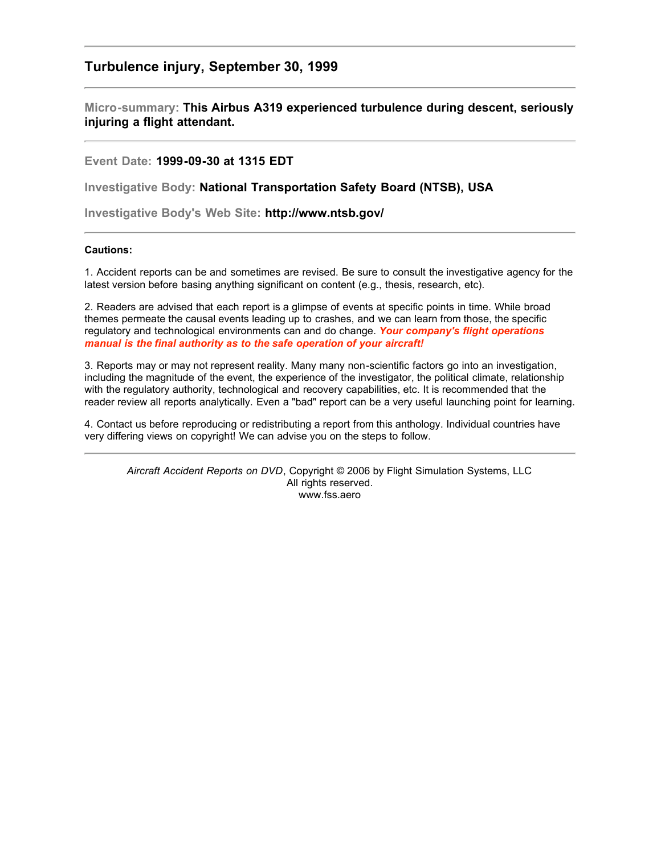## **Turbulence injury, September 30, 1999**

## **Micro-summary: This Airbus A319 experienced turbulence during descent, seriously injuring a flight attendant.**

## **Event Date: 1999-09-30 at 1315 EDT**

**Investigative Body: National Transportation Safety Board (NTSB), USA**

**Investigative Body's Web Site: http://www.ntsb.gov/**

## **Cautions:**

1. Accident reports can be and sometimes are revised. Be sure to consult the investigative agency for the latest version before basing anything significant on content (e.g., thesis, research, etc).

2. Readers are advised that each report is a glimpse of events at specific points in time. While broad themes permeate the causal events leading up to crashes, and we can learn from those, the specific regulatory and technological environments can and do change. *Your company's flight operations manual is the final authority as to the safe operation of your aircraft!*

3. Reports may or may not represent reality. Many many non-scientific factors go into an investigation, including the magnitude of the event, the experience of the investigator, the political climate, relationship with the regulatory authority, technological and recovery capabilities, etc. It is recommended that the reader review all reports analytically. Even a "bad" report can be a very useful launching point for learning.

4. Contact us before reproducing or redistributing a report from this anthology. Individual countries have very differing views on copyright! We can advise you on the steps to follow.

*Aircraft Accident Reports on DVD*, Copyright © 2006 by Flight Simulation Systems, LLC All rights reserved. www.fss.aero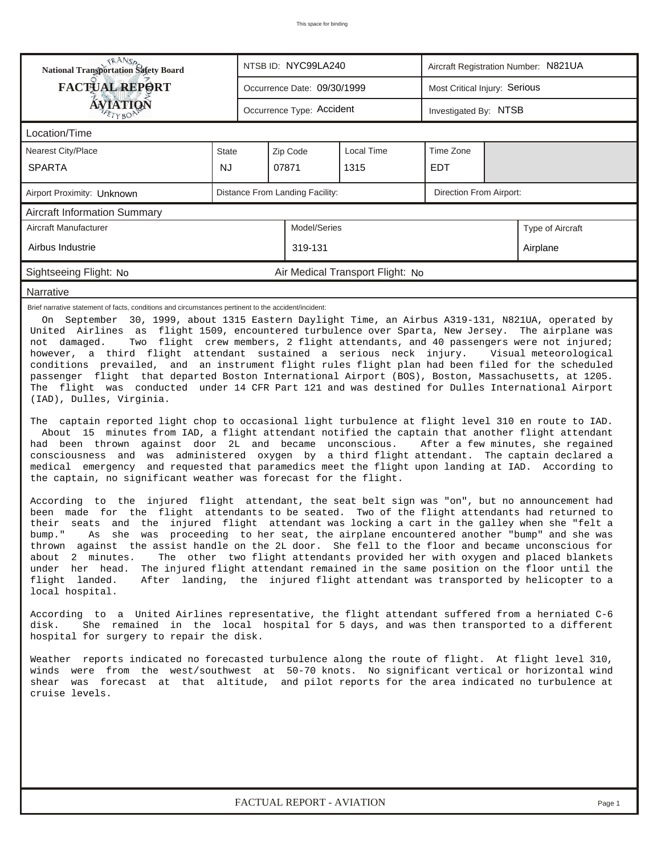| <b>FACTUAL REPORT</b><br>Most Critical Injury: Serious<br>Occurrence Date: 09/30/1999<br>ÁVIATIQN<br>Occurrence Type: Accident<br>Investigated By: NTSB<br>ETYBOP<br>Location/Time<br>Zip Code<br>Local Time<br>Time Zone<br><b>Nearest City/Place</b><br><b>State</b><br><b>NJ</b><br><b>SPARTA</b><br>07871<br>1315<br><b>EDT</b><br>Distance From Landing Facility:<br>Direction From Airport:<br>Airport Proximity: Unknown<br><b>Aircraft Information Summary</b><br>Aircraft Manufacturer<br>Model/Series<br>Type of Aircraft<br>Airbus Industrie<br>319-131<br>Airplane<br>Sightseeing Flight: No<br>Air Medical Transport Flight: No<br>Narrative<br>Brief narrative statement of facts, conditions and circumstances pertinent to the accident/incident:<br>On September 30, 1999, about 1315 Eastern Daylight Time, an Airbus A319-131, N821UA, operated by<br>United Airlines as flight 1509, encountered turbulence over Sparta, New Jersey. The airplane was<br>Two flight crew members, 2 flight attendants, and 40 passengers were not injured;<br>not damaged.<br>however, a third flight attendant sustained a serious neck injury.<br>Visual meteorological<br>conditions prevailed, and an instrument flight rules flight plan had been filed for the scheduled<br>passenger flight that departed Boston International Airport (BOS), Boston, Massachusetts, at 1205.<br>The flight was conducted under 14 CFR Part 121 and was destined for Dulles International Airport<br>(IAD), Dulles, Virginia.<br>The captain reported light chop to occasional light turbulence at flight level 310 en route to IAD.<br>About 15 minutes from IAD, a flight attendant notified the captain that another flight attendant<br>had been thrown against door 2L and became unconscious.<br>After a few minutes, she regained<br>consciousness and was administered oxygen by a third flight attendant. The captain declared a<br>medical emergency and requested that paramedics meet the flight upon landing at IAD. According to<br>the captain, no significant weather was forecast for the flight.<br>According to the injured flight attendant, the seat belt sign was "on", but no announcement had<br>been made for the flight attendants to be seated. Two of the flight attendants had returned to<br>their seats and the injured flight attendant was locking a cart in the galley when she "felt a<br>she was proceeding to her seat, the airplane encountered another "bump" and she was<br>bump."<br>Αs<br>thrown against the assist handle on the 2L door. She fell to the floor and became unconscious for<br>about 2 minutes.<br>The other two flight attendants provided her with oxygen and placed blankets<br>The injured flight attendant remained in the same position on the floor until the<br>under her head.<br>flight landed.<br>After landing, the injured flight attendant was transported by helicopter to a<br>local hospital.<br>According to a United Airlines representative, the flight attendant suffered from a herniated C-6<br>She remained in the local hospital for 5 days, and was then transported to a different<br>disk.<br>hospital for surgery to repair the disk.<br>Weather reports indicated no forecasted turbulence along the route of flight. At flight level 310,<br>winds were from the west/southwest at 50-70 knots. No significant vertical or horizontal wind<br>shear was forecast at that altitude, and pilot reports for the area indicated no turbulence at<br>cruise levels.<br>FACTUAL REPORT - AVIATION<br>Page 1 | <b>National Transportation Safety Board</b> |  |  | NTSB ID: NYC99LA240 |  | Aircraft Registration Number: N821UA |  |  |  |  |  |  |
|-------------------------------------------------------------------------------------------------------------------------------------------------------------------------------------------------------------------------------------------------------------------------------------------------------------------------------------------------------------------------------------------------------------------------------------------------------------------------------------------------------------------------------------------------------------------------------------------------------------------------------------------------------------------------------------------------------------------------------------------------------------------------------------------------------------------------------------------------------------------------------------------------------------------------------------------------------------------------------------------------------------------------------------------------------------------------------------------------------------------------------------------------------------------------------------------------------------------------------------------------------------------------------------------------------------------------------------------------------------------------------------------------------------------------------------------------------------------------------------------------------------------------------------------------------------------------------------------------------------------------------------------------------------------------------------------------------------------------------------------------------------------------------------------------------------------------------------------------------------------------------------------------------------------------------------------------------------------------------------------------------------------------------------------------------------------------------------------------------------------------------------------------------------------------------------------------------------------------------------------------------------------------------------------------------------------------------------------------------------------------------------------------------------------------------------------------------------------------------------------------------------------------------------------------------------------------------------------------------------------------------------------------------------------------------------------------------------------------------------------------------------------------------------------------------------------------------------------------------------------------------------------------------------------------------------------------------------------------------------------------------------------------------------------------------------------------------------------------------------------------------------------------------------------------------------------------------------------------------------------------------------------------------------------------------------------------------------------------------------------------------------------------------------------------------------------------------------------------------------------------------------------------------------------------------------------------------------------|---------------------------------------------|--|--|---------------------|--|--------------------------------------|--|--|--|--|--|--|
|                                                                                                                                                                                                                                                                                                                                                                                                                                                                                                                                                                                                                                                                                                                                                                                                                                                                                                                                                                                                                                                                                                                                                                                                                                                                                                                                                                                                                                                                                                                                                                                                                                                                                                                                                                                                                                                                                                                                                                                                                                                                                                                                                                                                                                                                                                                                                                                                                                                                                                                                                                                                                                                                                                                                                                                                                                                                                                                                                                                                                                                                                                                                                                                                                                                                                                                                                                                                                                                                                                                                                                                           |                                             |  |  |                     |  |                                      |  |  |  |  |  |  |
|                                                                                                                                                                                                                                                                                                                                                                                                                                                                                                                                                                                                                                                                                                                                                                                                                                                                                                                                                                                                                                                                                                                                                                                                                                                                                                                                                                                                                                                                                                                                                                                                                                                                                                                                                                                                                                                                                                                                                                                                                                                                                                                                                                                                                                                                                                                                                                                                                                                                                                                                                                                                                                                                                                                                                                                                                                                                                                                                                                                                                                                                                                                                                                                                                                                                                                                                                                                                                                                                                                                                                                                           |                                             |  |  |                     |  |                                      |  |  |  |  |  |  |
|                                                                                                                                                                                                                                                                                                                                                                                                                                                                                                                                                                                                                                                                                                                                                                                                                                                                                                                                                                                                                                                                                                                                                                                                                                                                                                                                                                                                                                                                                                                                                                                                                                                                                                                                                                                                                                                                                                                                                                                                                                                                                                                                                                                                                                                                                                                                                                                                                                                                                                                                                                                                                                                                                                                                                                                                                                                                                                                                                                                                                                                                                                                                                                                                                                                                                                                                                                                                                                                                                                                                                                                           |                                             |  |  |                     |  |                                      |  |  |  |  |  |  |
|                                                                                                                                                                                                                                                                                                                                                                                                                                                                                                                                                                                                                                                                                                                                                                                                                                                                                                                                                                                                                                                                                                                                                                                                                                                                                                                                                                                                                                                                                                                                                                                                                                                                                                                                                                                                                                                                                                                                                                                                                                                                                                                                                                                                                                                                                                                                                                                                                                                                                                                                                                                                                                                                                                                                                                                                                                                                                                                                                                                                                                                                                                                                                                                                                                                                                                                                                                                                                                                                                                                                                                                           |                                             |  |  |                     |  |                                      |  |  |  |  |  |  |
|                                                                                                                                                                                                                                                                                                                                                                                                                                                                                                                                                                                                                                                                                                                                                                                                                                                                                                                                                                                                                                                                                                                                                                                                                                                                                                                                                                                                                                                                                                                                                                                                                                                                                                                                                                                                                                                                                                                                                                                                                                                                                                                                                                                                                                                                                                                                                                                                                                                                                                                                                                                                                                                                                                                                                                                                                                                                                                                                                                                                                                                                                                                                                                                                                                                                                                                                                                                                                                                                                                                                                                                           |                                             |  |  |                     |  |                                      |  |  |  |  |  |  |
|                                                                                                                                                                                                                                                                                                                                                                                                                                                                                                                                                                                                                                                                                                                                                                                                                                                                                                                                                                                                                                                                                                                                                                                                                                                                                                                                                                                                                                                                                                                                                                                                                                                                                                                                                                                                                                                                                                                                                                                                                                                                                                                                                                                                                                                                                                                                                                                                                                                                                                                                                                                                                                                                                                                                                                                                                                                                                                                                                                                                                                                                                                                                                                                                                                                                                                                                                                                                                                                                                                                                                                                           |                                             |  |  |                     |  |                                      |  |  |  |  |  |  |
|                                                                                                                                                                                                                                                                                                                                                                                                                                                                                                                                                                                                                                                                                                                                                                                                                                                                                                                                                                                                                                                                                                                                                                                                                                                                                                                                                                                                                                                                                                                                                                                                                                                                                                                                                                                                                                                                                                                                                                                                                                                                                                                                                                                                                                                                                                                                                                                                                                                                                                                                                                                                                                                                                                                                                                                                                                                                                                                                                                                                                                                                                                                                                                                                                                                                                                                                                                                                                                                                                                                                                                                           |                                             |  |  |                     |  |                                      |  |  |  |  |  |  |
|                                                                                                                                                                                                                                                                                                                                                                                                                                                                                                                                                                                                                                                                                                                                                                                                                                                                                                                                                                                                                                                                                                                                                                                                                                                                                                                                                                                                                                                                                                                                                                                                                                                                                                                                                                                                                                                                                                                                                                                                                                                                                                                                                                                                                                                                                                                                                                                                                                                                                                                                                                                                                                                                                                                                                                                                                                                                                                                                                                                                                                                                                                                                                                                                                                                                                                                                                                                                                                                                                                                                                                                           |                                             |  |  |                     |  |                                      |  |  |  |  |  |  |
|                                                                                                                                                                                                                                                                                                                                                                                                                                                                                                                                                                                                                                                                                                                                                                                                                                                                                                                                                                                                                                                                                                                                                                                                                                                                                                                                                                                                                                                                                                                                                                                                                                                                                                                                                                                                                                                                                                                                                                                                                                                                                                                                                                                                                                                                                                                                                                                                                                                                                                                                                                                                                                                                                                                                                                                                                                                                                                                                                                                                                                                                                                                                                                                                                                                                                                                                                                                                                                                                                                                                                                                           |                                             |  |  |                     |  |                                      |  |  |  |  |  |  |
|                                                                                                                                                                                                                                                                                                                                                                                                                                                                                                                                                                                                                                                                                                                                                                                                                                                                                                                                                                                                                                                                                                                                                                                                                                                                                                                                                                                                                                                                                                                                                                                                                                                                                                                                                                                                                                                                                                                                                                                                                                                                                                                                                                                                                                                                                                                                                                                                                                                                                                                                                                                                                                                                                                                                                                                                                                                                                                                                                                                                                                                                                                                                                                                                                                                                                                                                                                                                                                                                                                                                                                                           |                                             |  |  |                     |  |                                      |  |  |  |  |  |  |
|                                                                                                                                                                                                                                                                                                                                                                                                                                                                                                                                                                                                                                                                                                                                                                                                                                                                                                                                                                                                                                                                                                                                                                                                                                                                                                                                                                                                                                                                                                                                                                                                                                                                                                                                                                                                                                                                                                                                                                                                                                                                                                                                                                                                                                                                                                                                                                                                                                                                                                                                                                                                                                                                                                                                                                                                                                                                                                                                                                                                                                                                                                                                                                                                                                                                                                                                                                                                                                                                                                                                                                                           |                                             |  |  |                     |  |                                      |  |  |  |  |  |  |
|                                                                                                                                                                                                                                                                                                                                                                                                                                                                                                                                                                                                                                                                                                                                                                                                                                                                                                                                                                                                                                                                                                                                                                                                                                                                                                                                                                                                                                                                                                                                                                                                                                                                                                                                                                                                                                                                                                                                                                                                                                                                                                                                                                                                                                                                                                                                                                                                                                                                                                                                                                                                                                                                                                                                                                                                                                                                                                                                                                                                                                                                                                                                                                                                                                                                                                                                                                                                                                                                                                                                                                                           |                                             |  |  |                     |  |                                      |  |  |  |  |  |  |
|                                                                                                                                                                                                                                                                                                                                                                                                                                                                                                                                                                                                                                                                                                                                                                                                                                                                                                                                                                                                                                                                                                                                                                                                                                                                                                                                                                                                                                                                                                                                                                                                                                                                                                                                                                                                                                                                                                                                                                                                                                                                                                                                                                                                                                                                                                                                                                                                                                                                                                                                                                                                                                                                                                                                                                                                                                                                                                                                                                                                                                                                                                                                                                                                                                                                                                                                                                                                                                                                                                                                                                                           |                                             |  |  |                     |  |                                      |  |  |  |  |  |  |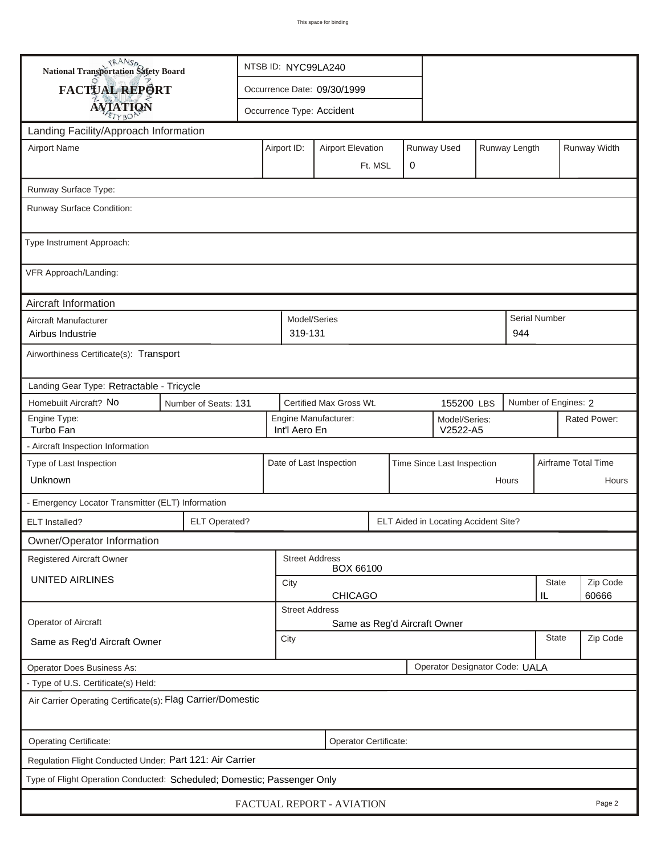| <b>National Transportation Safety Board</b>                             |                                                              | NTSB ID: NYC99LA240         |  |                                                                         |                                                                    |  |  |                              |  |       |                      |                     |  |
|-------------------------------------------------------------------------|--------------------------------------------------------------|-----------------------------|--|-------------------------------------------------------------------------|--------------------------------------------------------------------|--|--|------------------------------|--|-------|----------------------|---------------------|--|
| FACTUAL REPORT                                                          |                                                              | Occurrence Date: 09/30/1999 |  |                                                                         |                                                                    |  |  |                              |  |       |                      |                     |  |
| <b>AVIATION</b>                                                         |                                                              | Occurrence Type: Accident   |  |                                                                         |                                                                    |  |  |                              |  |       |                      |                     |  |
| Landing Facility/Approach Information                                   |                                                              |                             |  |                                                                         |                                                                    |  |  |                              |  |       |                      |                     |  |
| <b>Airport Name</b>                                                     |                                                              |                             |  | Runway Used<br>Runway Length<br>Airport ID:<br><b>Airport Elevation</b> |                                                                    |  |  |                              |  |       |                      | Runway Width        |  |
|                                                                         |                                                              |                             |  | 0<br>Ft. MSL                                                            |                                                                    |  |  |                              |  |       |                      |                     |  |
| Runway Surface Type:                                                    |                                                              |                             |  |                                                                         |                                                                    |  |  |                              |  |       |                      |                     |  |
| Runway Surface Condition:                                               |                                                              |                             |  |                                                                         |                                                                    |  |  |                              |  |       |                      |                     |  |
| Type Instrument Approach:                                               |                                                              |                             |  |                                                                         |                                                                    |  |  |                              |  |       |                      |                     |  |
| VFR Approach/Landing:                                                   |                                                              |                             |  |                                                                         |                                                                    |  |  |                              |  |       |                      |                     |  |
| Aircraft Information                                                    |                                                              |                             |  |                                                                         |                                                                    |  |  |                              |  |       |                      |                     |  |
| Aircraft Manufacturer<br>Airbus Industrie                               |                                                              |                             |  | Model/Series<br>319-131                                                 |                                                                    |  |  |                              |  | 944   | Serial Number        |                     |  |
| Airworthiness Certificate(s): Transport                                 |                                                              |                             |  |                                                                         |                                                                    |  |  |                              |  |       |                      |                     |  |
| Landing Gear Type: Retractable - Tricycle                               |                                                              |                             |  |                                                                         |                                                                    |  |  |                              |  |       |                      |                     |  |
| Homebuilt Aircraft? No                                                  | Number of Seats: 131                                         |                             |  |                                                                         | Certified Max Gross Wt.                                            |  |  | 155200 LBS                   |  |       | Number of Engines: 2 |                     |  |
| Engine Type:<br>Turbo Fan                                               |                                                              |                             |  |                                                                         | Engine Manufacturer:<br>Model/Series:<br>Int'l Aero En<br>V2522-A5 |  |  |                              |  |       | Rated Power:         |                     |  |
| - Aircraft Inspection Information                                       |                                                              |                             |  |                                                                         |                                                                    |  |  |                              |  |       |                      |                     |  |
| Type of Last Inspection                                                 |                                                              |                             |  |                                                                         | Date of Last Inspection                                            |  |  | Time Since Last Inspection   |  |       |                      | Airframe Total Time |  |
| Unknown                                                                 |                                                              |                             |  |                                                                         |                                                                    |  |  |                              |  | Hours |                      | Hours               |  |
| - Emergency Locator Transmitter (ELT) Information                       |                                                              |                             |  |                                                                         |                                                                    |  |  |                              |  |       |                      |                     |  |
| ELT Installed?                                                          | <b>ELT Operated?</b><br>ELT Aided in Locating Accident Site? |                             |  |                                                                         |                                                                    |  |  |                              |  |       |                      |                     |  |
| Owner/Operator Information                                              |                                                              |                             |  |                                                                         |                                                                    |  |  |                              |  |       |                      |                     |  |
| Registered Aircraft Owner                                               |                                                              |                             |  | <b>Street Address</b>                                                   | BOX 66100                                                          |  |  |                              |  |       |                      |                     |  |
| <b>UNITED AIRLINES</b>                                                  |                                                              |                             |  |                                                                         | State<br>City<br><b>CHICAGO</b><br>IL                              |  |  |                              |  |       |                      | Zip Code<br>60666   |  |
|                                                                         |                                                              |                             |  | <b>Street Address</b>                                                   |                                                                    |  |  |                              |  |       |                      |                     |  |
| Operator of Aircraft                                                    |                                                              |                             |  |                                                                         |                                                                    |  |  | Same as Reg'd Aircraft Owner |  |       |                      |                     |  |
| Same as Reg'd Aircraft Owner                                            |                                                              |                             |  |                                                                         | <b>State</b><br>City                                               |  |  |                              |  |       | Zip Code             |                     |  |
| Operator Designator Code: UALA<br><b>Operator Does Business As:</b>     |                                                              |                             |  |                                                                         |                                                                    |  |  |                              |  |       |                      |                     |  |
| - Type of U.S. Certificate(s) Held:                                     |                                                              |                             |  |                                                                         |                                                                    |  |  |                              |  |       |                      |                     |  |
| Air Carrier Operating Certificate(s): Flag Carrier/Domestic             |                                                              |                             |  |                                                                         |                                                                    |  |  |                              |  |       |                      |                     |  |
| Operating Certificate:                                                  |                                                              |                             |  |                                                                         | Operator Certificate:                                              |  |  |                              |  |       |                      |                     |  |
| Regulation Flight Conducted Under: Part 121: Air Carrier                |                                                              |                             |  |                                                                         |                                                                    |  |  |                              |  |       |                      |                     |  |
| Type of Flight Operation Conducted: Scheduled; Domestic; Passenger Only |                                                              |                             |  |                                                                         |                                                                    |  |  |                              |  |       |                      |                     |  |
| FACTUAL REPORT - AVIATION<br>Page 2                                     |                                                              |                             |  |                                                                         |                                                                    |  |  |                              |  |       |                      |                     |  |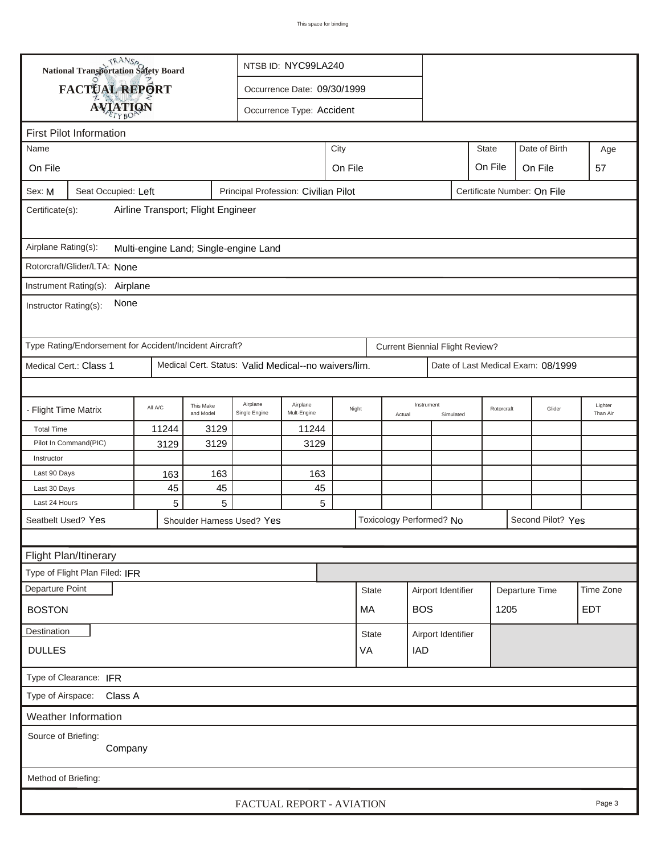|                                                                                                      | <b>National Transportation Safety Board</b><br>NTSB ID: NYC99LA240 |                        |                                                      |                           |  |              |        |                                        |           |      |                                    |  |                     |
|------------------------------------------------------------------------------------------------------|--------------------------------------------------------------------|------------------------|------------------------------------------------------|---------------------------|--|--------------|--------|----------------------------------------|-----------|------|------------------------------------|--|---------------------|
| FACTUAL REPORT                                                                                       |                                                                    |                        | Occurrence Date: 09/30/1999                          |                           |  |              |        |                                        |           |      |                                    |  |                     |
|                                                                                                      |                                                                    |                        |                                                      | Occurrence Type: Accident |  |              |        |                                        |           |      |                                    |  |                     |
| <b>AVIATION</b>                                                                                      |                                                                    |                        |                                                      |                           |  |              |        |                                        |           |      |                                    |  |                     |
| <b>First Pilot Information</b>                                                                       |                                                                    |                        |                                                      |                           |  |              |        |                                        |           |      | Date of Birth                      |  |                     |
| Name                                                                                                 | <b>State</b><br>City                                               |                        |                                                      |                           |  |              |        |                                        |           |      |                                    |  | Age                 |
| On File                                                                                              | On File<br>On File<br>On File                                      |                        |                                                      |                           |  |              |        |                                        |           |      |                                    |  | 57                  |
| Principal Profession: Civilian Pilot<br>Certificate Number: On File<br>Seat Occupied: Left<br>Sex: M |                                                                    |                        |                                                      |                           |  |              |        |                                        |           |      |                                    |  |                     |
| Airline Transport; Flight Engineer<br>Certificate(s):                                                |                                                                    |                        |                                                      |                           |  |              |        |                                        |           |      |                                    |  |                     |
| Airplane Rating(s):<br>Multi-engine Land; Single-engine Land                                         |                                                                    |                        |                                                      |                           |  |              |        |                                        |           |      |                                    |  |                     |
| Rotorcraft/Glider/LTA: None                                                                          |                                                                    |                        |                                                      |                           |  |              |        |                                        |           |      |                                    |  |                     |
| Instrument Rating(s): Airplane                                                                       |                                                                    |                        |                                                      |                           |  |              |        |                                        |           |      |                                    |  |                     |
| None<br>Instructor Rating(s):                                                                        |                                                                    |                        |                                                      |                           |  |              |        |                                        |           |      |                                    |  |                     |
| Type Rating/Endorsement for Accident/Incident Aircraft?                                              |                                                                    |                        |                                                      |                           |  |              |        | <b>Current Biennial Flight Review?</b> |           |      |                                    |  |                     |
| Medical Cert.: Class 1                                                                               |                                                                    |                        | Medical Cert. Status: Valid Medical--no waivers/lim. |                           |  |              |        |                                        |           |      | Date of Last Medical Exam: 08/1999 |  |                     |
|                                                                                                      |                                                                    |                        |                                                      |                           |  |              |        |                                        |           |      |                                    |  |                     |
| - Flight Time Matrix                                                                                 | All A/C                                                            | This Make<br>and Model | Airplane<br>Single Engine                            | Airplane<br>Mult-Engine   |  | Night        | Actual | Instrument                             | Simulated |      | Glider<br>Rotorcraft               |  | Lighter<br>Than Air |
| <b>Total Time</b>                                                                                    | 11244                                                              | 3129                   |                                                      | 11244                     |  |              |        |                                        |           |      |                                    |  |                     |
| Pilot In Command(PIC)                                                                                | 3129                                                               | 3129                   |                                                      | 3129                      |  |              |        |                                        |           |      |                                    |  |                     |
| Instructor                                                                                           |                                                                    |                        |                                                      |                           |  |              |        |                                        |           |      |                                    |  |                     |
| Last 90 Days<br>Last 30 Days                                                                         | 163<br>45                                                          | 163<br>45              |                                                      | 163<br>45                 |  |              |        |                                        |           |      |                                    |  |                     |
| Last 24 Hours                                                                                        | 5                                                                  | 5                      |                                                      | 5                         |  |              |        |                                        |           |      |                                    |  |                     |
| Seatbelt Used? Yes                                                                                   |                                                                    |                        | Shoulder Harness Used? Yes                           |                           |  |              |        | Toxicology Performed? No               |           |      | Second Pilot? Yes                  |  |                     |
|                                                                                                      |                                                                    |                        |                                                      |                           |  |              |        |                                        |           |      |                                    |  |                     |
| Flight Plan/Itinerary                                                                                |                                                                    |                        |                                                      |                           |  |              |        |                                        |           |      |                                    |  |                     |
| Type of Flight Plan Filed: IFR                                                                       |                                                                    |                        |                                                      |                           |  |              |        |                                        |           |      |                                    |  |                     |
| Departure Point                                                                                      |                                                                    |                        |                                                      |                           |  | <b>State</b> |        | Airport Identifier                     |           |      | Departure Time                     |  | Time Zone           |
| <b>BOSTON</b>                                                                                        |                                                                    |                        |                                                      |                           |  | MA           |        | <b>BOS</b>                             |           | 1205 |                                    |  | <b>EDT</b>          |
| Destination                                                                                          |                                                                    |                        |                                                      |                           |  |              |        |                                        |           |      |                                    |  |                     |
| <b>DULLES</b>                                                                                        | Airport Identifier<br>State<br>VA<br><b>IAD</b>                    |                        |                                                      |                           |  |              |        |                                        |           |      |                                    |  |                     |
| Type of Clearance: IFR                                                                               |                                                                    |                        |                                                      |                           |  |              |        |                                        |           |      |                                    |  |                     |
| Class A<br>Type of Airspace:                                                                         |                                                                    |                        |                                                      |                           |  |              |        |                                        |           |      |                                    |  |                     |
| <b>Weather Information</b>                                                                           |                                                                    |                        |                                                      |                           |  |              |        |                                        |           |      |                                    |  |                     |
| Source of Briefing:<br>Company                                                                       |                                                                    |                        |                                                      |                           |  |              |        |                                        |           |      |                                    |  |                     |
| Method of Briefing:                                                                                  |                                                                    |                        |                                                      |                           |  |              |        |                                        |           |      |                                    |  |                     |
| FACTUAL REPORT - AVIATION<br>Page 3                                                                  |                                                                    |                        |                                                      |                           |  |              |        |                                        |           |      |                                    |  |                     |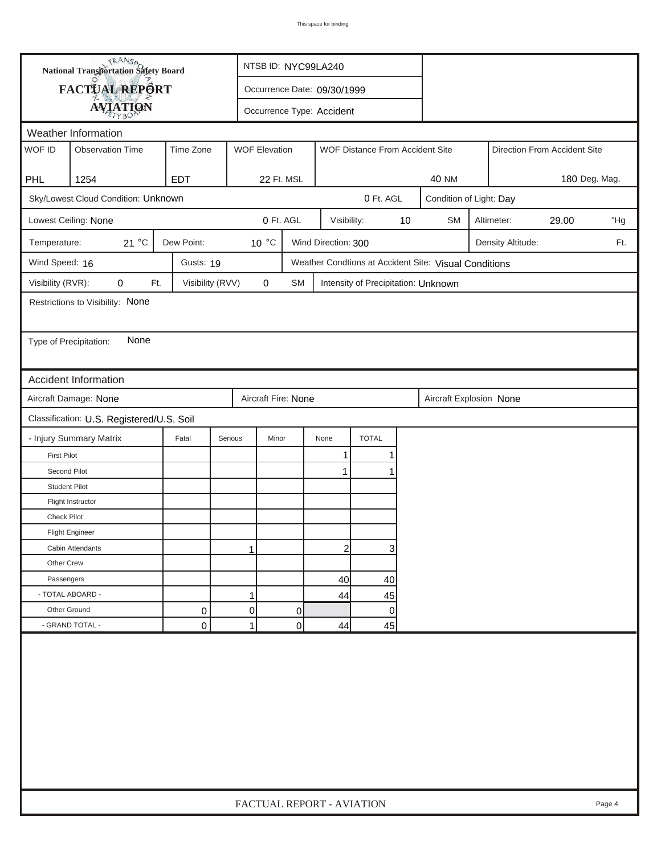| <b>National Transportation Safety Board</b>                                 |                                                                                                 | NTSB ID: NYC99LA240         |                     |                           |                     |                                     |    |                                                       |                            |                   |                              |     |
|-----------------------------------------------------------------------------|-------------------------------------------------------------------------------------------------|-----------------------------|---------------------|---------------------------|---------------------|-------------------------------------|----|-------------------------------------------------------|----------------------------|-------------------|------------------------------|-----|
|                                                                             | FACTUAL REPORT                                                                                  | Occurrence Date: 09/30/1999 |                     |                           |                     |                                     |    |                                                       |                            |                   |                              |     |
|                                                                             | <b>AVIATION</b>                                                                                 |                             |                     | Occurrence Type: Accident |                     |                                     |    |                                                       |                            |                   |                              |     |
| Weather Information                                                         |                                                                                                 |                             |                     |                           |                     |                                     |    |                                                       |                            |                   |                              |     |
| WOF ID                                                                      | <b>Observation Time</b><br>Time Zone<br><b>WOF Elevation</b><br>WOF Distance From Accident Site |                             |                     |                           |                     |                                     |    |                                                       |                            |                   | Direction From Accident Site |     |
|                                                                             |                                                                                                 |                             |                     |                           |                     |                                     |    |                                                       |                            |                   |                              |     |
| <b>PHL</b>                                                                  | 1254                                                                                            | <b>EDT</b>                  |                     | 22 Ft. MSL                |                     |                                     |    | <b>40 NM</b>                                          |                            |                   | 180 Deg. Mag.                |     |
| Sky/Lowest Cloud Condition: Unknown<br>0 Ft. AGL<br>Condition of Light: Day |                                                                                                 |                             |                     |                           |                     |                                     |    |                                                       |                            |                   |                              |     |
|                                                                             | Lowest Ceiling: None                                                                            |                             |                     | 0 Ft. AGL                 | Visibility:         |                                     | 10 | <b>SM</b>                                             | Altimeter:<br>29.00<br>"Hg |                   |                              |     |
| Temperature:                                                                | 21 °C                                                                                           | Dew Point:                  | 10 °C               |                           | Wind Direction: 300 |                                     |    |                                                       |                            | Density Altitude: |                              | Ft. |
| Wind Speed: 16                                                              |                                                                                                 | Gusts: 19                   |                     |                           |                     |                                     |    | Weather Condtions at Accident Site: Visual Conditions |                            |                   |                              |     |
| Visibility (RVR):                                                           | 0<br>Ft.                                                                                        | Visibility (RVV)            | $\mathbf 0$         | <b>SM</b>                 |                     | Intensity of Precipitation: Unknown |    |                                                       |                            |                   |                              |     |
|                                                                             | Restrictions to Visibility: None                                                                |                             |                     |                           |                     |                                     |    |                                                       |                            |                   |                              |     |
|                                                                             |                                                                                                 |                             |                     |                           |                     |                                     |    |                                                       |                            |                   |                              |     |
| Type of Precipitation:                                                      | None                                                                                            |                             |                     |                           |                     |                                     |    |                                                       |                            |                   |                              |     |
|                                                                             |                                                                                                 |                             |                     |                           |                     |                                     |    |                                                       |                            |                   |                              |     |
|                                                                             | <b>Accident Information</b>                                                                     |                             |                     |                           |                     |                                     |    |                                                       |                            |                   |                              |     |
|                                                                             | Aircraft Damage: None                                                                           |                             | Aircraft Fire: None |                           |                     |                                     |    | Aircraft Explosion None                               |                            |                   |                              |     |
| Classification: U.S. Registered/U.S. Soil                                   |                                                                                                 |                             |                     |                           |                     |                                     |    |                                                       |                            |                   |                              |     |
|                                                                             | - Injury Summary Matrix                                                                         | Fatal                       | Serious<br>Minor    |                           | None                | <b>TOTAL</b>                        |    |                                                       |                            |                   |                              |     |
| <b>First Pilot</b>                                                          |                                                                                                 |                             |                     |                           | 1                   | 1                                   |    |                                                       |                            |                   |                              |     |
| Second Pilot                                                                |                                                                                                 |                             |                     |                           | $\mathbf{1}$        | 1                                   |    |                                                       |                            |                   |                              |     |
| <b>Student Pilot</b>                                                        |                                                                                                 |                             |                     |                           |                     |                                     |    |                                                       |                            |                   |                              |     |
|                                                                             | Flight Instructor                                                                               |                             |                     |                           |                     |                                     |    |                                                       |                            |                   |                              |     |
| <b>Check Pilot</b>                                                          |                                                                                                 |                             |                     |                           |                     |                                     |    |                                                       |                            |                   |                              |     |
|                                                                             | <b>Flight Engineer</b>                                                                          |                             |                     |                           |                     |                                     |    |                                                       |                            |                   |                              |     |
|                                                                             | Cabin Attendants                                                                                |                             | 1                   |                           | $\overline{2}$      | 3                                   |    |                                                       |                            |                   |                              |     |
| Other Crew                                                                  |                                                                                                 |                             |                     |                           |                     |                                     |    |                                                       |                            |                   |                              |     |
| Passengers                                                                  |                                                                                                 |                             |                     |                           | 40                  | 40                                  |    |                                                       |                            |                   |                              |     |
| - TOTAL ABOARD -                                                            |                                                                                                 |                             | 1                   |                           | 44                  | 45                                  |    |                                                       |                            |                   |                              |     |
| Other Ground                                                                |                                                                                                 | 0                           | 0                   | 0<br>0                    |                     |                                     |    |                                                       |                            |                   |                              |     |
|                                                                             | - GRAND TOTAL -                                                                                 | 0                           | 1                   | 0                         | 44                  | 45                                  |    |                                                       |                            |                   |                              |     |
|                                                                             |                                                                                                 |                             |                     |                           |                     |                                     |    |                                                       |                            |                   |                              |     |
|                                                                             | FACTUAL REPORT - AVIATION<br>Page 4                                                             |                             |                     |                           |                     |                                     |    |                                                       |                            |                   |                              |     |